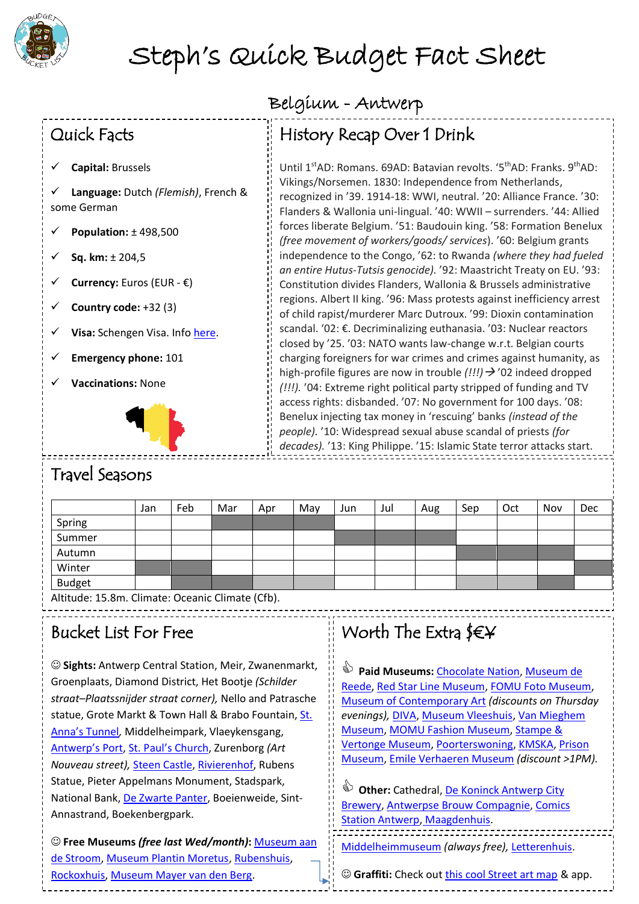

# Steph's Quick Budget Fact Sheet

#### Quick Facts

- ✓ **Capital:** Brussels
- ✓ **Language:** Dutch *(Flemish)*, French & some German
- ✓ **Population:** ± 498,500
- ✓ **Sq. km:** ± 204,5
- Currency: Euros (EUR €)
- ✓ **Country code:** +32 (3)
- Visa: Schengen Visa. Inf[o here.](https://www.schengenvisainfo.com/)
- ✓ **Emergency phone:** 101
- ✓ **Vaccinations:** None



### Travel Seasons

## Belgium - Antwerp

# History Recap Over 1 Drink

 Vikings/Norsemen. 1830: Independence from Netherlands, Flanders & Wallonia uni-lingual. '40: WWII – surrenders. '44: Allied<br>forces liberate Belgium. '51: Baudouin king. '58: Formation Benelux independence to the Congo, '62: to Rwanda *(where they had fueled*  regions. Albert II king. '96: Mass protests against inefficiency arrest scandal. '02: €. Decriminalizing euthanasia. '03: Nuclear reactors<br>closed by '25, '02: NATO wants law change w.r.t. Belgian courts high-profile figures are now in trouble *(!!!)*→ '02 indeed dropped Benelux injecting tax money in 'rescuing' banks *(instead of the decades).* '13: King Philippe. '15: Islamic State terror attacks start. Until 1<sup>st</sup>AD: Romans. 69AD: Batavian revolts. '5<sup>th</sup>AD: Franks. 9<sup>th</sup>AD: recognized in '39. 1914-18: WWI, neutral. '20: Alliance France. '30: Flanders & Wallonia uni-lingual. '40: WWII – surrenders. '44: Allied *(free movement of workers/goods/ services*). '60: Belgium grants *an entire Hutus-Tutsis genocide).* '92: Maastricht Treaty on EU. '93: Constitution divides Flanders, Wallonia & Brussels administrative of child rapist/murderer Marc Dutroux. '99: Dioxin contamination closed by '25. '03: NATO wants law-change w.r.t. Belgian courts charging foreigners for war crimes and crimes against humanity, as *(!!!).* '04: Extreme right political party stripped of funding and TV access rights: disbanded. '07: No government for 100 days. '08: *people).* '10: Widespread sexual abuse scandal of priests *(for* 

|                                                  | Jan | Feb | Mar | Apr | May | Jun | Jul | Aug | Sep | Oct | Nov | Dec |
|--------------------------------------------------|-----|-----|-----|-----|-----|-----|-----|-----|-----|-----|-----|-----|
| Spring                                           |     |     |     |     |     |     |     |     |     |     |     |     |
| Summer                                           |     |     |     |     |     |     |     |     |     |     |     |     |
| Autumn                                           |     |     |     |     |     |     |     |     |     |     |     |     |
| Winter                                           |     |     |     |     |     |     |     |     |     |     |     |     |
| <b>Budget</b>                                    |     |     |     |     |     |     |     |     |     |     |     |     |
| Altitude: 15.8m. Climate: Oceanic Climate (Cfb). |     |     |     |     |     |     |     |     |     |     |     |     |

# Bucket List For Free

☺ **Sights:** Antwerp Central Station, Meir, Zwanenmarkt, Groenplaats, Diamond District, Het Bootje *(Schilder straat–Plaatssnijder straat corner),* Nello and Patrasche statue, Grote Markt & Town Hall & Brabo Fountain, St. [Anna's Tunnel](https://www.visitantwerpen.be/nl/vervoer-antwerpen/voetgangers-en-fietserstunnel)*,* Middelheimpark, Vlaeykensgang, [Antwerp's Port](https://www.portofantwerp.com/language), [St. Paul's Church](https://www.kerknet.be/organisatie/sint-paulusparochie-antwerpen), Zurenborg *(Art Nouveau street),* [Steen Castle,](https://www.visitantwerpen.be/en/steen-castle-info) [Rivierenhof,](https://www.oltrivierenhof.be/nl/) Rubens Statue, Pieter Appelmans Monument, Stadspark, National Bank, [De Zwarte Panter,](http://www.dezwartepanter.com/) Boeienweide, Sint-Annastrand, Boekenbergpark.

© Free Museums *(free last Wed/month)*: <u>Museum</u><br><u>[de Stroom,](https://www.mas.be/nl) [Museum Plantin Moretus,](https://www.museumplantinmoretus.be/nl/bezoek) Rubenshuis</u>, ☺ **Free Museums** *(free last Wed/month)***:** [Museum aan](https://www.mas.be/nl)  [Rockoxhuis,](https://www.snijdersrockoxhuis.be/) [Museum Mayer van den Berg.](http://www.museummayervandenbergh.be/)

## Worth The Extra \$€¥

*Charage Hall Museums: <u>Chocolate Nation</u>, Museum de* **[Reede,](https://museum-dereede.com/) [Red Star Line Museum,](https://www.redstarline.be/en) [FOMU Foto Museum,](https://fomu.be/plan-je-bezoek)**  *evenings),* [DIVA,](http://www.divaantwerp.be/) [Museum Vleeshuis,](http://www.museumvleeshuis.be/) [Van Mieghem](http://vanmieghemmuseum.com/)  [Museum,](http://www.gevangenismuseum.be/) [Emile Verhaeren Museum](http://www.emileverhaeren.be/) *(discount >1PM).* **ED** Paid Museums: [Chocolate Nation,](https://www.chocolatenation.be/nl) Museum de [Museum of Contemporary Art](https://www.muhka.be/) *(discounts on Thursday*  [Museum,](http://vanmieghemmuseum.com/) [MOMU Fashion Museum,](https://www.momu.be/en/) [Stampe &](http://www.stampe.be/)  [Vertonge Museum,](http://www.stampe.be/) [Poorterswoning,](https://www.antwerpen.be/nl/info/54ef1099cba8a73a518b4e02/poorterswoning-de-pelgrom) [KMSKA,](http://www.kmska.be/) [Prison](http://www.gevangenismuseum.be/) 

**b** Other: Cathedral, De Koninck Antwerp City [Brewery,](https://www.dekoninck.be/en/) [Antwerpse Brouw Compagnie,](http://seef.be/) [Comics](http://www.plopsa.be/)  [Station Antwerp,](http://www.plopsa.be/) [Maagdenhuis.](https://www.maagdenhuis.be/)

[Middelheimmuseum](http://www.middelheimmuseum.be/) *(always free),* [Letterenhuis.](http://www.letterenhuis.be/)

☺ **Graffiti:** Check out [this cool Street art map](https://www.streetartantwerp.com/) & app.